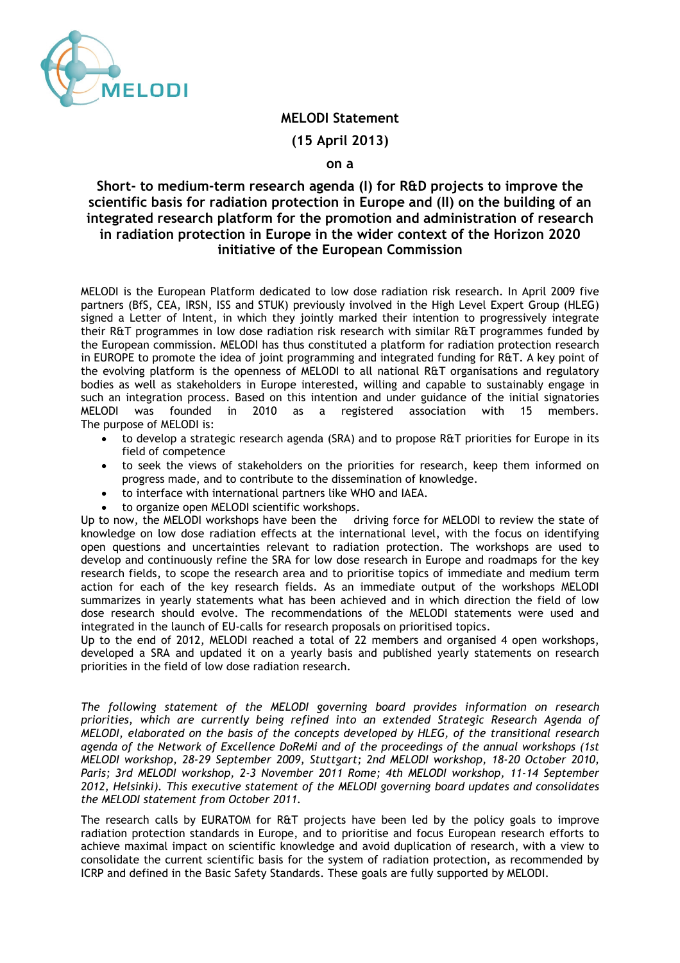

## **MELODI Statement**

**(15 April 2013)** 

## **on a**

## **Short- to medium-term research agenda (I) for R&D projects to improve the scientific basis for radiation protection in Europe and (II) on the building of an integrated research platform for the promotion and administration of research in radiation protection in Europe in the wider context of the Horizon 2020 initiative of the European Commission**

MELODI is the European Platform dedicated to low dose radiation risk research. In April 2009 five partners (BfS, CEA, IRSN, ISS and STUK) previously involved in the High Level Expert Group (HLEG) signed a Letter of Intent, in which they jointly marked their intention to progressively integrate their R&T programmes in low dose radiation risk research with similar R&T programmes funded by the European commission. MELODI has thus constituted a platform for radiation protection research in EUROPE to promote the idea of joint programming and integrated funding for R&T. A key point of the evolving platform is the openness of MELODI to all national R&T organisations and regulatory bodies as well as stakeholders in Europe interested, willing and capable to sustainably engage in such an integration process. Based on this intention and under guidance of the initial signatories MELODI was founded in 2010 as a registered association with 15 members. The purpose of MELODI is:

- to develop a strategic research agenda (SRA) and to propose R&T priorities for Europe in its field of competence
- to seek the views of stakeholders on the priorities for research, keep them informed on progress made, and to contribute to the dissemination of knowledge.
- to interface with international partners like WHO and IAEA.
- 

to organize open MELODI scientific workshops.<br>ow, the MELODI workshops have been the driving force for MELODI to review the state of Up to now, the MELODI workshops have been the knowledge on low dose radiation effects at the international level, with the focus on identifying open questions and uncertainties relevant to radiation protection. The workshops are used to develop and continuously refine the SRA for low dose research in Europe and roadmaps for the key research fields, to scope the research area and to prioritise topics of immediate and medium term action for each of the key research fields. As an immediate output of the workshops MELODI summarizes in yearly statements what has been achieved and in which direction the field of low dose research should evolve. The recommendations of the MELODI statements were used and integrated in the launch of EU-calls for research proposals on prioritised topics.

Up to the end of 2012, MELODI reached a total of 22 members and organised 4 open workshops, developed a SRA and updated it on a yearly basis and published yearly statements on research priorities in the field of low dose radiation research.

*The following statement of the MELODI governing board provides information on research priorities, which are currently being refined into an extended Strategic Research Agenda of MELODI, elaborated on the basis of the concepts developed by HLEG, of the transitional research agenda of the Network of Excellence DoReMi and of the proceedings of the annual workshops (1st MELODI workshop, 28-29 September 2009, Stuttgart; 2nd MELODI workshop, 18-20 October 2010, Paris; 3rd MELODI workshop, 2-3 November 2011 Rome; 4th MELODI workshop, 11-14 September 2012, Helsinki). This executive statement of the MELODI governing board updates and consolidates the MELODI statement from October 2011.* 

The research calls by EURATOM for R&T projects have been led by the policy goals to improve radiation protection standards in Europe, and to prioritise and focus European research efforts to achieve maximal impact on scientific knowledge and avoid duplication of research, with a view to consolidate the current scientific basis for the system of radiation protection, as recommended by ICRP and defined in the Basic Safety Standards. These goals are fully supported by MELODI.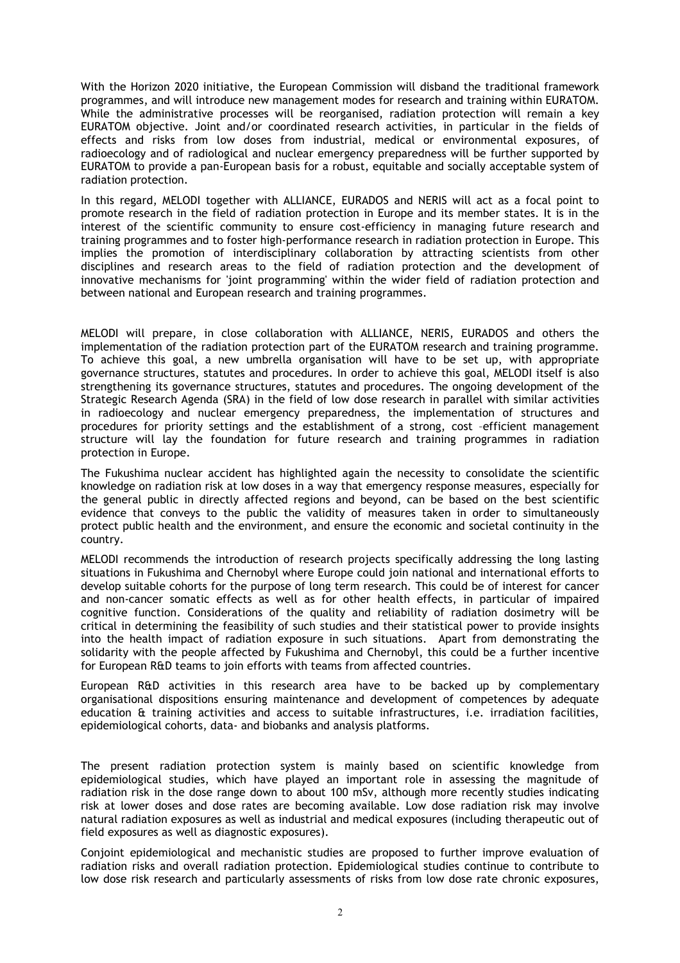With the Horizon 2020 initiative, the European Commission will disband the traditional framework programmes, and will introduce new management modes for research and training within EURATOM. While the administrative processes will be reorganised, radiation protection will remain a key EURATOM objective. Joint and/or coordinated research activities, in particular in the fields of effects and risks from low doses from industrial, medical or environmental exposures, of radioecology and of radiological and nuclear emergency preparedness will be further supported by EURATOM to provide a pan-European basis for a robust, equitable and socially acceptable system of radiation protection.

In this regard, MELODI together with ALLIANCE, EURADOS and NERIS will act as a focal point to promote research in the field of radiation protection in Europe and its member states. It is in the interest of the scientific community to ensure cost-efficiency in managing future research and training programmes and to foster high-performance research in radiation protection in Europe. This implies the promotion of interdisciplinary collaboration by attracting scientists from other disciplines and research areas to the field of radiation protection and the development of innovative mechanisms for 'joint programming' within the wider field of radiation protection and between national and European research and training programmes.

MELODI will prepare, in close collaboration with ALLIANCE, NERIS, EURADOS and others the implementation of the radiation protection part of the EURATOM research and training programme. To achieve this goal, a new umbrella organisation will have to be set up, with appropriate governance structures, statutes and procedures. In order to achieve this goal, MELODI itself is also strengthening its governance structures, statutes and procedures. The ongoing development of the Strategic Research Agenda (SRA) in the field of low dose research in parallel with similar activities in radioecology and nuclear emergency preparedness, the implementation of structures and procedures for priority settings and the establishment of a strong, cost –efficient management structure will lay the foundation for future research and training programmes in radiation protection in Europe.

The Fukushima nuclear accident has highlighted again the necessity to consolidate the scientific knowledge on radiation risk at low doses in a way that emergency response measures, especially for the general public in directly affected regions and beyond, can be based on the best scientific evidence that conveys to the public the validity of measures taken in order to simultaneously protect public health and the environment, and ensure the economic and societal continuity in the country.

MELODI recommends the introduction of research projects specifically addressing the long lasting situations in Fukushima and Chernobyl where Europe could join national and international efforts to develop suitable cohorts for the purpose of long term research. This could be of interest for cancer and non-cancer somatic effects as well as for other health effects, in particular of impaired cognitive function. Considerations of the quality and reliability of radiation dosimetry will be critical in determining the feasibility of such studies and their statistical power to provide insights into the health impact of radiation exposure in such situations. Apart from demonstrating the solidarity with the people affected by Fukushima and Chernobyl, this could be a further incentive for European R&D teams to join efforts with teams from affected countries.

European R&D activities in this research area have to be backed up by complementary organisational dispositions ensuring maintenance and development of competences by adequate education & training activities and access to suitable infrastructures, i.e. irradiation facilities, epidemiological cohorts, data- and biobanks and analysis platforms.

The present radiation protection system is mainly based on scientific knowledge from epidemiological studies, which have played an important role in assessing the magnitude of radiation risk in the dose range down to about 100 mSv, although more recently studies indicating risk at lower doses and dose rates are becoming available. Low dose radiation risk may involve natural radiation exposures as well as industrial and medical exposures (including therapeutic out of field exposures as well as diagnostic exposures).

Conjoint epidemiological and mechanistic studies are proposed to further improve evaluation of radiation risks and overall radiation protection. Epidemiological studies continue to contribute to low dose risk research and particularly assessments of risks from low dose rate chronic exposures,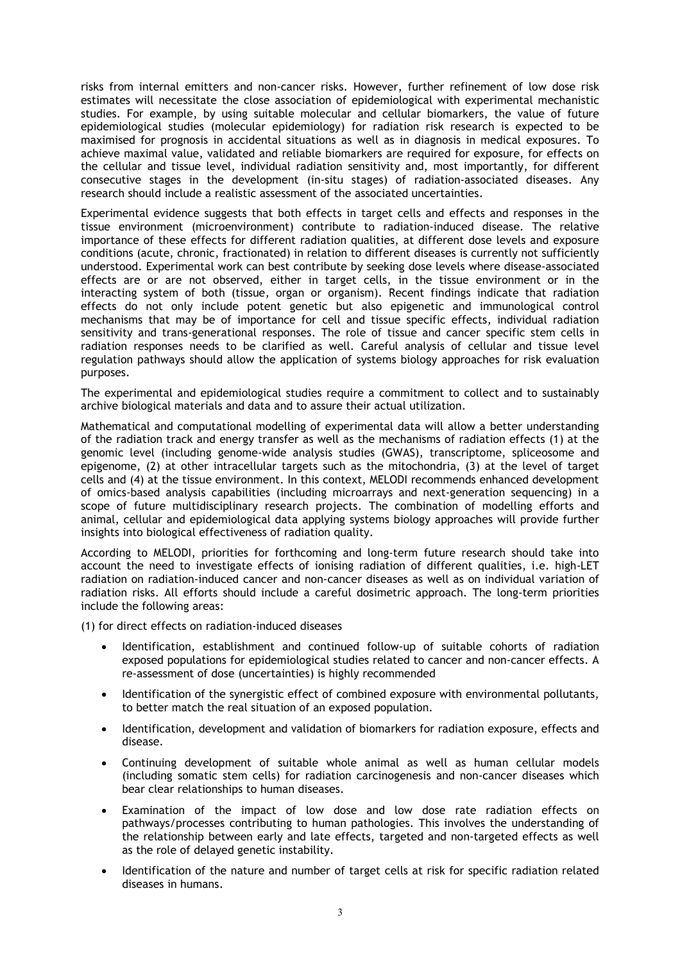risks from internal emitters and non-cancer risks. However, further refinement of low dose risk estimates will necessitate the close association of epidemiological with experimental mechanistic studies. For example, by using suitable molecular and cellular biomarkers, the value of future epidemiological studies (molecular epidemiology) for radiation risk research is expected to be maximised for prognosis in accidental situations as well as in diagnosis in medical exposures. To achieve maximal value, validated and reliable biomarkers are required for exposure, for effects on the cellular and tissue level, individual radiation sensitivity and, most importantly, for different consecutive stages in the development (in-situ stages) of radiation-associated diseases. Any research should include a realistic assessment of the associated uncertainties.

Experimental evidence suggests that both effects in target cells and effects and responses in the tissue environment (microenvironment) contribute to radiation-induced disease. The relative importance of these effects for different radiation qualities, at different dose levels and exposure conditions (acute, chronic, fractionated) in relation to different diseases is currently not sufficiently understood. Experimental work can best contribute by seeking dose levels where disease-associated effects are or are not observed, either in target cells, in the tissue environment or in the interacting system of both (tissue, organ or organism). Recent findings indicate that radiation effects do not only include potent genetic but also epigenetic and immunological control mechanisms that may be of importance for cell and tissue specific effects, individual radiation sensitivity and trans-generational responses. The role of tissue and cancer specific stem cells in radiation responses needs to be clarified as well. Careful analysis of cellular and tissue level regulation pathways should allow the application of systems biology approaches for risk evaluation purposes.

The experimental and epidemiological studies require a commitment to collect and to sustainably archive biological materials and data and to assure their actual utilization.

Mathematical and computational modelling of experimental data will allow a better understanding of the radiation track and energy transfer as well as the mechanisms of radiation effects (1) at the genomic level (including genome-wide analysis studies (GWAS), transcriptome, spliceosome and epigenome, (2) at other intracellular targets such as the mitochondria, (3) at the level of target cells and (4) at the tissue environment. In this context, MELODI recommends enhanced development of omics-based analysis capabilities (including microarrays and next-generation sequencing) in a scope of future multidisciplinary research projects. The combination of modelling efforts and animal, cellular and epidemiological data applying systems biology approaches will provide further insights into biological effectiveness of radiation quality.

According to MELODI, priorities for forthcoming and long-term future research should take into account the need to investigate effects of ionising radiation of different qualities, i.e. high-LET radiation on radiation-induced cancer and non-cancer diseases as well as on individual variation of radiation risks. All efforts should include a careful dosimetric approach. The long-term priorities include the following areas:

(1) for direct effects on radiation-induced diseases

- Identification, establishment and continued follow-up of suitable cohorts of radiation exposed populations for epidemiological studies related to cancer and non-cancer effects. A re-assessment of dose (uncertainties) is highly recommended
- Identification of the synergistic effect of combined exposure with environmental pollutants, to better match the real situation of an exposed population.
- Identification, development and validation of biomarkers for radiation exposure, effects and disease.
- Continuing development of suitable whole animal as well as human cellular models (including somatic stem cells) for radiation carcinogenesis and non-cancer diseases which bear clear relationships to human diseases.
- Examination of the impact of low dose and low dose rate radiation effects on pathways/processes contributing to human pathologies. This involves the understanding of the relationship between early and late effects, targeted and non-targeted effects as well as the role of delayed genetic instability.
- Identification of the nature and number of target cells at risk for specific radiation related diseases in humans.